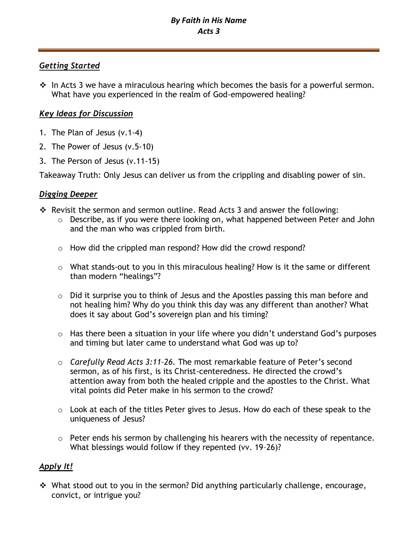# *Getting Started*

❖ In Acts 3 we have a miraculous hearing which becomes the basis for a powerful sermon. What have you experienced in the realm of God-empowered healing?

# *Key Ideas for Discussion*

- 1. The Plan of Jesus (v.1-4)
- 2. The Power of Jesus (v.5-10)
- 3. The Person of Jesus (v.11-15)

Takeaway Truth: Only Jesus can deliver us from the crippling and disabling power of sin.

# *Digging Deeper*

- ❖ Revisit the sermon and sermon outline. Read Acts 3 and answer the following:
	- o Describe, as if you were there looking on, what happened between Peter and John and the man who was crippled from birth.
	- o How did the crippled man respond? How did the crowd respond?
	- o What stands-out to you in this miraculous healing? How is it the same or different than modern "healings"?
	- o Did it surprise you to think of Jesus and the Apostles passing this man before and not healing him? Why do you think this day was any different than another? What does it say about God's sovereign plan and his timing?
	- o Has there been a situation in your life where you didn't understand God's purposes and timing but later came to understand what God was up to?
	- o *Carefully Read Acts 3:11–26.* The most remarkable feature of Peter's second sermon, as of his first, is its Christ-centeredness. He directed the crowd's attention away from both the healed cripple and the apostles to the Christ. What vital points did Peter make in his sermon to the crowd?
	- o Look at each of the titles Peter gives to Jesus. How do each of these speak to the uniqueness of Jesus?
	- o Peter ends his sermon by challenging his hearers with the necessity of repentance. What blessings would follow if they repented (vv. 19–26)?

# *Apply It!*

❖ What stood out to you in the sermon? Did anything particularly challenge, encourage, convict, or intrigue you?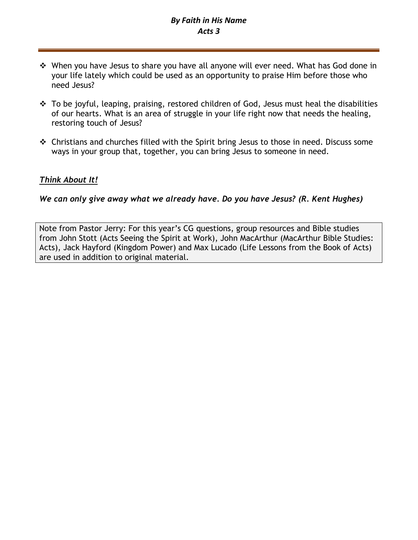# *By Faith in His Name Acts 3*

- ❖ When you have Jesus to share you have all anyone will ever need. What has God done in your life lately which could be used as an opportunity to praise Him before those who need Jesus?
- ❖ To be joyful, leaping, praising, restored children of God, Jesus must heal the disabilities of our hearts. What is an area of struggle in your life right now that needs the healing, restoring touch of Jesus?
- ❖ Christians and churches filled with the Spirit bring Jesus to those in need. Discuss some ways in your group that, together, you can bring Jesus to someone in need.

## *Think About It!*

*We can only give away what we already have. Do you have Jesus? (R. Kent Hughes)*

Note from Pastor Jerry: For this year's CG questions, group resources and Bible studies from John Stott (Acts Seeing the Spirit at Work), John MacArthur (MacArthur Bible Studies: Acts), Jack Hayford (Kingdom Power) and Max Lucado (Life Lessons from the Book of Acts) are used in addition to original material.